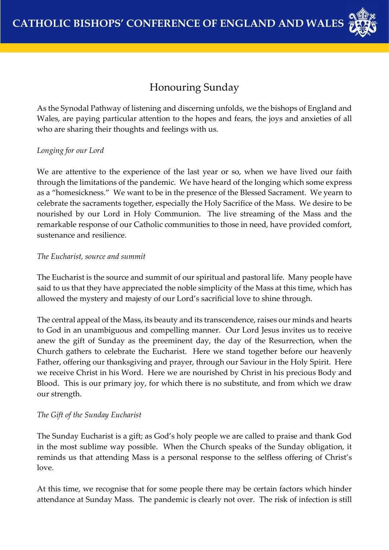

# Honouring Sunday

As the Synodal Pathway of listening and discerning unfolds, we the bishops of England and Wales, are paying particular attention to the hopes and fears, the joys and anxieties of all who are sharing their thoughts and feelings with us.

## *Longing for our Lord*

We are attentive to the experience of the last year or so, when we have lived our faith through the limitations of the pandemic. We have heard of the longing which some express as a "homesickness." We want to be in the presence of the Blessed Sacrament. We yearn to celebrate the sacraments together, especially the Holy Sacrifice of the Mass. We desire to be nourished by our Lord in Holy Communion. The live streaming of the Mass and the remarkable response of our Catholic communities to those in need, have provided comfort, sustenance and resilience.

## *The Eucharist, source and summit*

The Eucharist is the source and summit of our spiritual and pastoral life. Many people have said to us that they have appreciated the noble simplicity of the Mass at this time, which has allowed the mystery and majesty of our Lord's sacrificial love to shine through.

The central appeal of the Mass, its beauty and its transcendence, raises our minds and hearts to God in an unambiguous and compelling manner. Our Lord Jesus invites us to receive anew the gift of Sunday as the preeminent day, the day of the Resurrection, when the Church gathers to celebrate the Eucharist. Here we stand together before our heavenly Father, offering our thanksgiving and prayer, through our Saviour in the Holy Spirit. Here we receive Christ in his Word. Here we are nourished by Christ in his precious Body and Blood. This is our primary joy, for which there is no substitute, and from which we draw our strength.

#### *The Gift of the Sunday Eucharist*

The Sunday Eucharist is a gift; as God's holy people we are called to praise and thank God in the most sublime way possible. When the Church speaks of the Sunday obligation, it reminds us that attending Mass is a personal response to the selfless offering of Christ's love.

At this time, we recognise that for some people there may be certain factors which hinder attendance at Sunday Mass. The pandemic is clearly not over. The risk of infection is still